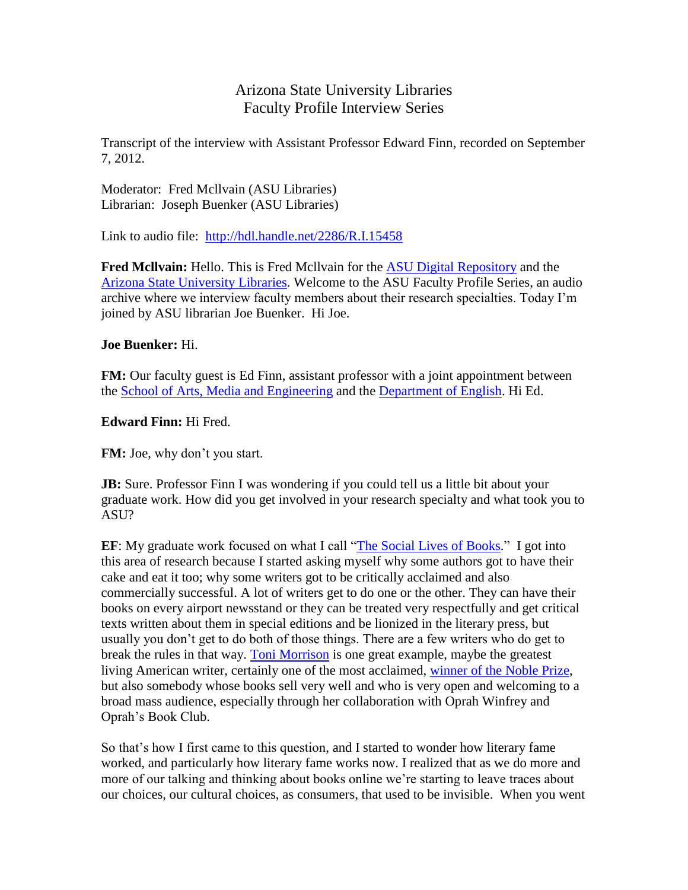## Arizona State University Libraries Faculty Profile Interview Series

Transcript of the interview with Assistant Professor Edward Finn, recorded on September 7, 2012.

Moderator: Fred Mcllvain (ASU Libraries) Librarian: Joseph Buenker (ASU Libraries)

Link to audio file: <http://hdl.handle.net/2286/R.I.15458>

**Fred Mcllvain:** Hello. This is Fred Mcllvain for the [ASU Digital Repository](http://repository.asu.edu/) and the [Arizona State University Libraries.](http://lib.asu.edu/) Welcome to the ASU Faculty Profile Series, an audio archive where we interview faculty members about their research specialties. Today I'm joined by ASU librarian Joe Buenker. Hi Joe.

## **Joe Buenker:** Hi.

**FM:** Our faculty guest is Ed Finn, assistant professor with a joint appointment between the School of Arts, [Media and Engineering](http://ame.asu.edu/) and the [Department of English.](http://english.clas.asu.edu/) Hi Ed.

## **Edward Finn:** Hi Fred.

**FM:** Joe, why don't you start.

**JB:** Sure. Professor Finn I was wondering if you could tell us a little bit about your graduate work. How did you get involved in your research specialty and what took you to ASU?

**EF**: My graduate work focused on what I call ["The Social Lives of Books.](http://dh2010.cch.kcl.ac.uk/academic-programme/abstracts/papers/html/ab-824.html)" I got into this area of research because I started asking myself why some authors got to have their cake and eat it too; why some writers got to be critically acclaimed and also commercially successful. A lot of writers get to do one or the other. They can have their books on every airport newsstand or they can be treated very respectfully and get critical texts written about them in special editions and be lionized in the literary press, but usually you don't get to do both of those things. There are a few writers who do get to break the rules in that way. [Toni Morrison](http://en.wikipedia.org/wiki/Toni_Morrison) is one great example, maybe the greatest living American writer, certainly one of the most acclaimed, [winner of the Noble Prize,](http://www.nobelprize.org/nobel_prizes/literature/laureates/1993/) but also somebody whose books sell very well and who is very open and welcoming to a broad mass audience, especially through her collaboration with Oprah Winfrey and Oprah's Book Club.

So that's how I first came to this question, and I started to wonder how literary fame worked, and particularly how literary fame works now. I realized that as we do more and more of our talking and thinking about books online we're starting to leave traces about our choices, our cultural choices, as consumers, that used to be invisible. When you went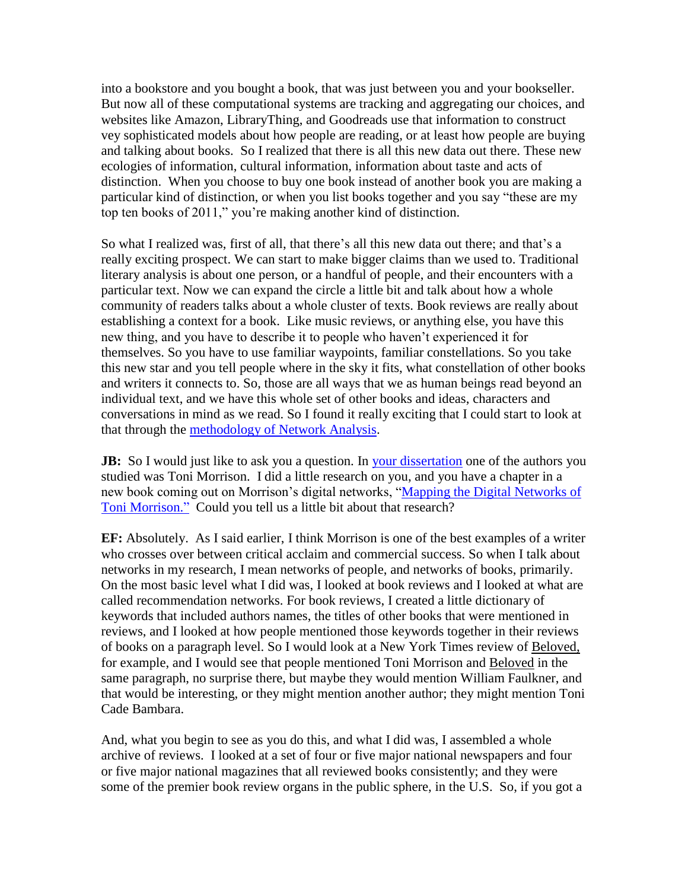into a bookstore and you bought a book, that was just between you and your bookseller. But now all of these computational systems are tracking and aggregating our choices, and websites like Amazon, LibraryThing, and Goodreads use that information to construct vey sophisticated models about how people are reading, or at least how people are buying and talking about books. So I realized that there is all this new data out there. These new ecologies of information, cultural information, information about taste and acts of distinction. When you choose to buy one book instead of another book you are making a particular kind of distinction, or when you list books together and you say "these are my top ten books of 2011," you're making another kind of distinction.

So what I realized was, first of all, that there's all this new data out there; and that's a really exciting prospect. We can start to make bigger claims than we used to. Traditional literary analysis is about one person, or a handful of people, and their encounters with a particular text. Now we can expand the circle a little bit and talk about how a whole community of readers talks about a whole cluster of texts. Book reviews are really about establishing a context for a book. Like music reviews, or anything else, you have this new thing, and you have to describe it to people who haven't experienced it for themselves. So you have to use familiar waypoints, familiar constellations. So you take this new star and you tell people where in the sky it fits, what constellation of other books and writers it connects to. So, those are all ways that we as human beings read beyond an individual text, and we have this whole set of other books and ideas, characters and conversations in mind as we read. So I found it really exciting that I could start to look at that through the [methodology of Network Analysis.](http://edfinn.net/page/2/)

**JB:** So I would just like to ask you a question. In [your dissertation](http://purl.stanford.edu/mk148kb9574) one of the authors you studied was Toni Morrison. I did a little research on you, and you have a chapter in a new book coming out on Morrison's digital networks, ["Mapping the Digital Networks of](http://www.umass.edu/umpress/title/codex-hypertext)  [Toni Morrison."](http://www.umass.edu/umpress/title/codex-hypertext) Could you tell us a little bit about that research?

**EF:** Absolutely. As I said earlier, I think Morrison is one of the best examples of a writer who crosses over between critical acclaim and commercial success. So when I talk about networks in my research, I mean networks of people, and networks of books, primarily. On the most basic level what I did was, I looked at book reviews and I looked at what are called recommendation networks. For book reviews, I created a little dictionary of keywords that included authors names, the titles of other books that were mentioned in reviews, and I looked at how people mentioned those keywords together in their reviews of books on a paragraph level. So I would look at a New York Times review of Beloved, for example, and I would see that people mentioned Toni Morrison and Beloved in the same paragraph, no surprise there, but maybe they would mention William Faulkner, and that would be interesting, or they might mention another author; they might mention Toni Cade Bambara.

And, what you begin to see as you do this, and what I did was, I assembled a whole archive of reviews. I looked at a set of four or five major national newspapers and four or five major national magazines that all reviewed books consistently; and they were some of the premier book review organs in the public sphere, in the U.S. So, if you got a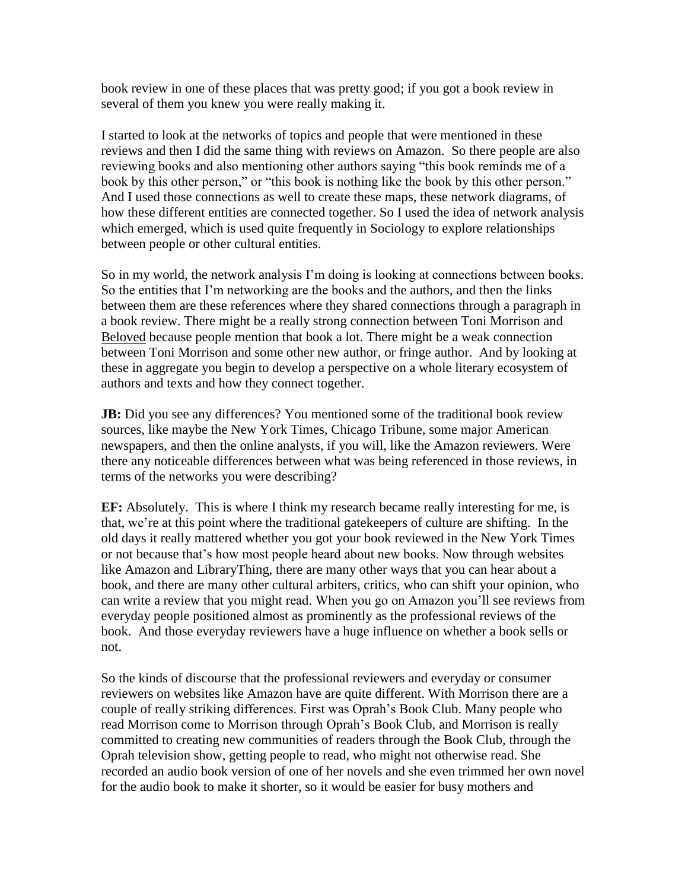book review in one of these places that was pretty good; if you got a book review in several of them you knew you were really making it.

I started to look at the networks of topics and people that were mentioned in these reviews and then I did the same thing with reviews on Amazon. So there people are also reviewing books and also mentioning other authors saying "this book reminds me of a book by this other person," or "this book is nothing like the book by this other person." And I used those connections as well to create these maps, these network diagrams, of how these different entities are connected together. So I used the idea of network analysis which emerged, which is used quite frequently in Sociology to explore relationships between people or other cultural entities.

So in my world, the network analysis I'm doing is looking at connections between books. So the entities that I'm networking are the books and the authors, and then the links between them are these references where they shared connections through a paragraph in a book review. There might be a really strong connection between Toni Morrison and Beloved because people mention that book a lot. There might be a weak connection between Toni Morrison and some other new author, or fringe author. And by looking at these in aggregate you begin to develop a perspective on a whole literary ecosystem of authors and texts and how they connect together.

**JB:** Did you see any differences? You mentioned some of the traditional book review sources, like maybe the New York Times, Chicago Tribune, some major American newspapers, and then the online analysts, if you will, like the Amazon reviewers. Were there any noticeable differences between what was being referenced in those reviews, in terms of the networks you were describing?

**EF:** Absolutely. This is where I think my research became really interesting for me, is that, we're at this point where the traditional gatekeepers of culture are shifting. In the old days it really mattered whether you got your book reviewed in the New York Times or not because that's how most people heard about new books. Now through websites like Amazon and LibraryThing, there are many other ways that you can hear about a book, and there are many other cultural arbiters, critics, who can shift your opinion, who can write a review that you might read. When you go on Amazon you'll see reviews from everyday people positioned almost as prominently as the professional reviews of the book. And those everyday reviewers have a huge influence on whether a book sells or not.

So the kinds of discourse that the professional reviewers and everyday or consumer reviewers on websites like Amazon have are quite different. With Morrison there are a couple of really striking differences. First was Oprah's Book Club. Many people who read Morrison come to Morrison through Oprah's Book Club, and Morrison is really committed to creating new communities of readers through the Book Club, through the Oprah television show, getting people to read, who might not otherwise read. She recorded an audio book version of one of her novels and she even trimmed her own novel for the audio book to make it shorter, so it would be easier for busy mothers and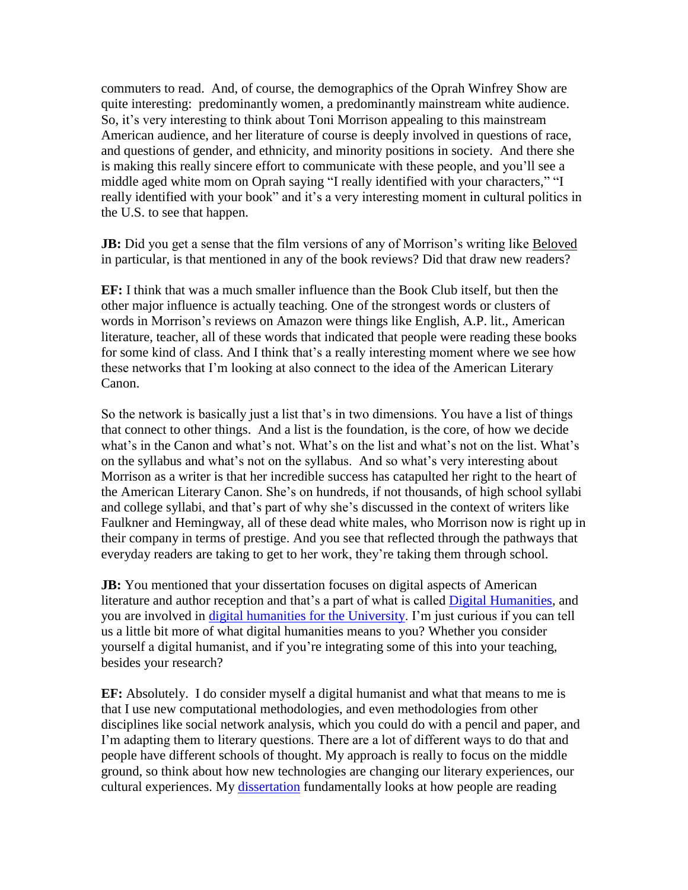commuters to read. And, of course, the demographics of the Oprah Winfrey Show are quite interesting: predominantly women, a predominantly mainstream white audience. So, it's very interesting to think about Toni Morrison appealing to this mainstream American audience, and her literature of course is deeply involved in questions of race, and questions of gender, and ethnicity, and minority positions in society. And there she is making this really sincere effort to communicate with these people, and you'll see a middle aged white mom on Oprah saying "I really identified with your characters," "I really identified with your book" and it's a very interesting moment in cultural politics in the U.S. to see that happen.

**JB:** Did you get a sense that the film versions of any of Morrison's writing like Beloved in particular, is that mentioned in any of the book reviews? Did that draw new readers?

**EF:** I think that was a much smaller influence than the Book Club itself, but then the other major influence is actually teaching. One of the strongest words or clusters of words in Morrison's reviews on Amazon were things like English, A.P. lit., American literature, teacher, all of these words that indicated that people were reading these books for some kind of class. And I think that's a really interesting moment where we see how these networks that I'm looking at also connect to the idea of the American Literary Canon.

So the network is basically just a list that's in two dimensions. You have a list of things that connect to other things. And a list is the foundation, is the core, of how we decide what's in the Canon and what's not. What's on the list and what's not on the list. What's on the syllabus and what's not on the syllabus. And so what's very interesting about Morrison as a writer is that her incredible success has catapulted her right to the heart of the American Literary Canon. She's on hundreds, if not thousands, of high school syllabi and college syllabi, and that's part of why she's discussed in the context of writers like Faulkner and Hemingway, all of these dead white males, who Morrison now is right up in their company in terms of prestige. And you see that reflected through the pathways that everyday readers are taking to get to her work, they're taking them through school.

**JB:** You mentioned that your dissertation focuses on digital aspects of American literature and author reception and that's a part of what is called [Digital Humanities,](http://www.ach.org/) and you are involved in [digital humanities for](http://ihr.asu.edu/initiatives/geospatial-humanities/digital-humanities) the University. I'm just curious if you can tell us a little bit more of what digital humanities means to you? Whether you consider yourself a digital humanist, and if you're integrating some of this into your teaching, besides your research?

**EF:** Absolutely. I do consider myself a digital humanist and what that means to me is that I use new computational methodologies, and even methodologies from other disciplines like social network analysis, which you could do with a pencil and paper, and I'm adapting them to literary questions. There are a lot of different ways to do that and people have different schools of thought. My approach is really to focus on the middle ground, so think about how new technologies are changing our literary experiences, our cultural experiences. My [dissertation](http://purl.stanford.edu/mk148kb9574) fundamentally looks at how people are reading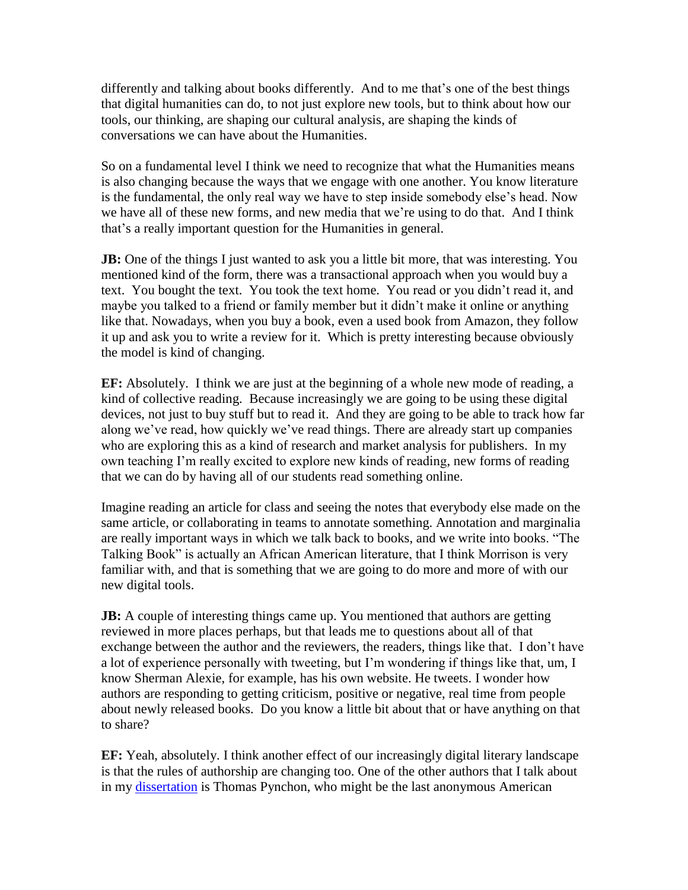differently and talking about books differently. And to me that's one of the best things that digital humanities can do, to not just explore new tools, but to think about how our tools, our thinking, are shaping our cultural analysis, are shaping the kinds of conversations we can have about the Humanities.

So on a fundamental level I think we need to recognize that what the Humanities means is also changing because the ways that we engage with one another. You know literature is the fundamental, the only real way we have to step inside somebody else's head. Now we have all of these new forms, and new media that we're using to do that. And I think that's a really important question for the Humanities in general.

**JB:** One of the things I just wanted to ask you a little bit more, that was interesting. You mentioned kind of the form, there was a transactional approach when you would buy a text. You bought the text. You took the text home. You read or you didn't read it, and maybe you talked to a friend or family member but it didn't make it online or anything like that. Nowadays, when you buy a book, even a used book from Amazon, they follow it up and ask you to write a review for it. Which is pretty interesting because obviously the model is kind of changing.

**EF:** Absolutely. I think we are just at the beginning of a whole new mode of reading, a kind of collective reading. Because increasingly we are going to be using these digital devices, not just to buy stuff but to read it. And they are going to be able to track how far along we've read, how quickly we've read things. There are already start up companies who are exploring this as a kind of research and market analysis for publishers. In my own teaching I'm really excited to explore new kinds of reading, new forms of reading that we can do by having all of our students read something online.

Imagine reading an article for class and seeing the notes that everybody else made on the same article, or collaborating in teams to annotate something. Annotation and marginalia are really important ways in which we talk back to books, and we write into books. "The Talking Book" is actually an African American literature, that I think Morrison is very familiar with, and that is something that we are going to do more and more of with our new digital tools.

**JB:** A couple of interesting things came up. You mentioned that authors are getting reviewed in more places perhaps, but that leads me to questions about all of that exchange between the author and the reviewers, the readers, things like that. I don't have a lot of experience personally with tweeting, but I'm wondering if things like that, um, I know Sherman Alexie, for example, has his own website. He tweets. I wonder how authors are responding to getting criticism, positive or negative, real time from people about newly released books. Do you know a little bit about that or have anything on that to share?

**EF:** Yeah, absolutely. I think another effect of our increasingly digital literary landscape is that the rules of authorship are changing too. One of the other authors that I talk about in my [dissertation](http://purl.stanford.edu/mk148kb9574) is Thomas Pynchon, who might be the last anonymous American